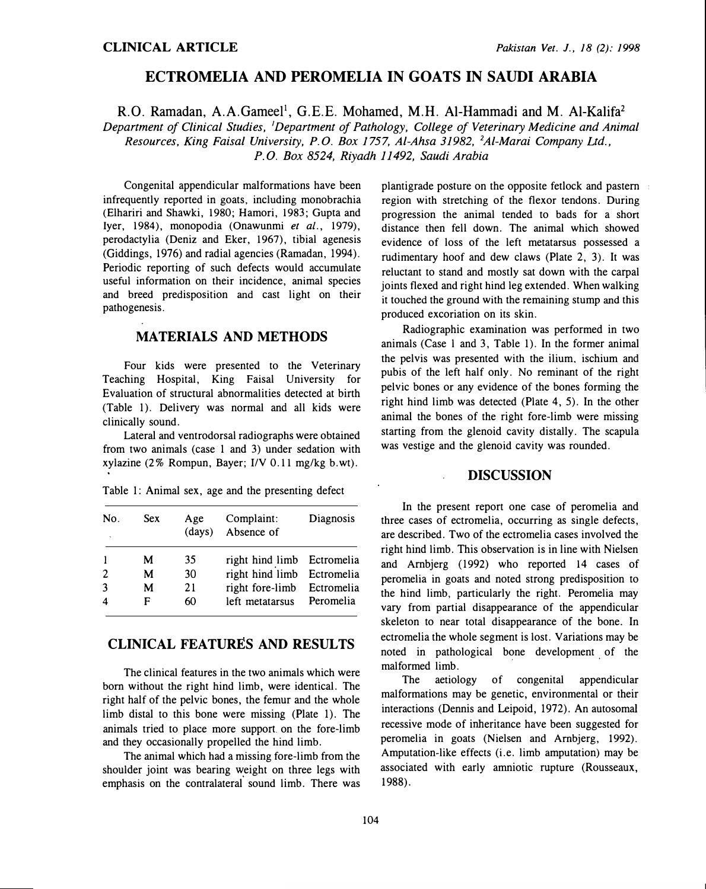# ECTROMELIA AND PEROMELIA IN GOATS IN SAUDI ARABIA

R.O. Ramadan, A.A.Gameel<sup>1</sup>, G.E.E. Mohamed, M.H. Al-Hammadi and M. Al-Kalifa<sup>2</sup> Department of Clinical Studies, <sup>1</sup>Department of Pathology, College of Veterinary Medicine and Animal Resources, King Faisal University, P.O. Box 1757, Al-Ahsa 31982, 2Al-Marai Company Ltd., P. 0. Box 8524, Riyadh 11492, Saudi Arabia

Congenital appendicular malformations have been infrequently reported in goats, including monobrachia (Elhariri and Shawki, 1980; Hamori, 1983; Gupta and Iyer, 1984), monopodia (Onawunmi et al., 1979), perodactylia (Deniz and Eker, 1967), tibial agenesis (Giddings, 1976) and radial agencies (Ramadan, 1994). Periodic reporting of such defects would accumulate useful information on their incidence, animal species and breed predisposition and cast light on their pathogenesis.

#### MATERIALS AND METHODS

Four kids were presented to the Veterinary Teaching Hospital, King Faisal University for Evaluation of structural abnormalities detected at birth (Table 1). Delivery was normal and all kids were clinically sound.

Lateral and ventrodorsal radiographs were obtained from two animals (case 1 and 3) under sedation with xylazine (2% Rompun, Bayer; 1/V 0.11 mg/kg b.wt).

Table 1: Animal sex, age and the presenting defect

| No.<br>$\ddot{\phantom{a}}$ | <b>Sex</b> | Age<br>(days) | Complaint:<br>Absence of   | Diagnosis |
|-----------------------------|------------|---------------|----------------------------|-----------|
|                             | M          | 35            | right hind limb Ectromelia |           |
| $\overline{2}$              | М          | 30            | right hind limb Ectromelia |           |
| 3                           | М          | 21            | right fore-limb Ectromelia |           |
| $\boldsymbol{4}$            | F          | 60            | left metatarsus Peromelia  |           |

## CLINICAL FEATURES AND RESULTS

The clinical features in the two animals which were born without the right hind limb, were identical. The right half of the pelvic bones, the femur and the whole limb distal to this bone were missing (Plate 1). The animals tried to place more support on the fore-limb and they occasionally propelled the hind limb.

The animal which had a missing fore-limb from the shoulder joint was bearing �eight on three legs with emphasis on the contralateral sound limb. There was plantigrade posture on the opposite fetlock and pastern region with stretching of the flexor tendons. During progression the animal tended to bads for a short distance then fell down. The animal which showed evidence of loss of the left metatarsus possessed a rudimentary hoof and dew claws (Plate 2, 3). It was reluctant to stand and mostly sat down with the carpal joints flexed and right hind leg extended. When walking it touched the ground with the remaining stump and this produced excoriation on its skin.

Radiographic examination was performed in two animals (Case l and 3, Table 1). In the former animal the pelvis was presented with the ilium. ischium and pubis of the left half only. No reminant of the right pelvic bones or any evidence of the bones forming the right hind limb was detected (Plate 4, 5). In the other animal the bones of the right fore-limb were missing starting from the glenoid cavity distally. The scapula was vestige and the glenoid cavity was rounded.

## DISCUSSION

In the present report one case of peromelia and three cases of ectromelia, occurring as single defects, are described. Two of the ectromelia cases involved the right hind limb. This observation is in line with Nielsen and Arnbjerg (1992) who reported 14 cases of peromelia in goats and noted strong predisposition to the hind limb, particularly the right. Peromelia may vary from partial disappearance of the appendicular skeleton to near total disappearance of the bone. In ectromelia the whole segment is lost. Variations may be noted in pathological bone development of the malformed limb.

The aetiology of congenital appendicular malformations may be genetic, environmental or their interactions (Dennis and Leipoid, 1972). An autosomal recessive mode of inheritance have been suggested for peromelia in goats (Nielsen and Ambjerg, 1992). Amputation-like effects (i.e. limb amputation) may be associated with early amniotic rupture (Rousseaux, 1988).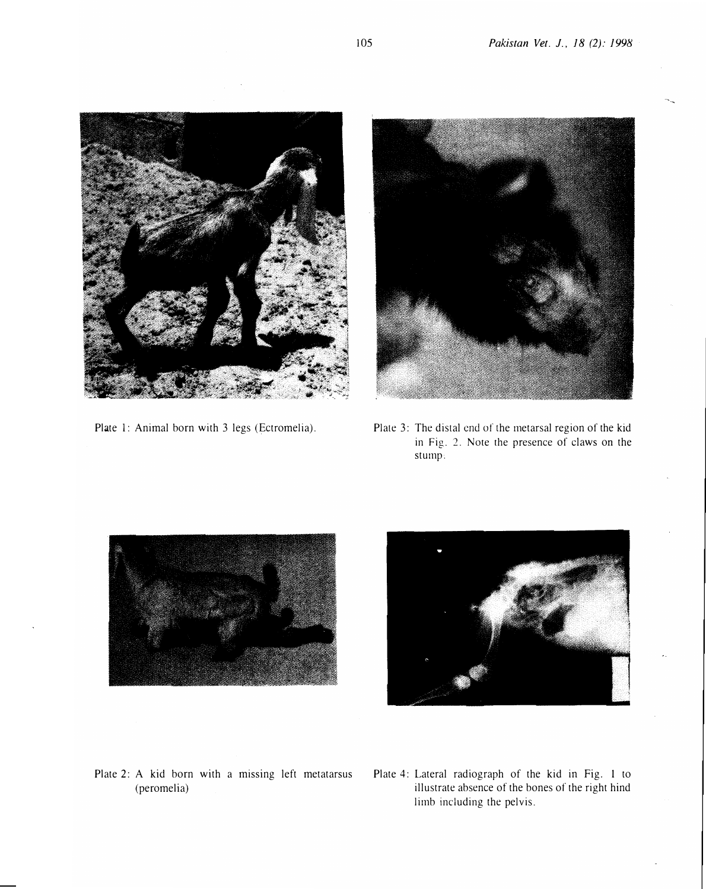

Plate 1: Animal born with 3 legs (Ectromelia).



Plate 3: The distal end of the metarsal region of the kid in Fig. 2. Note the presence of claws on the stump:





- Plate 2: A kid born with a missing left metatarsus (peromelia)
- Plate 4: Lateral radiograph of the kid in Fig. 1 to illustrate absence of the bones of the right hind limb including the pelvis.